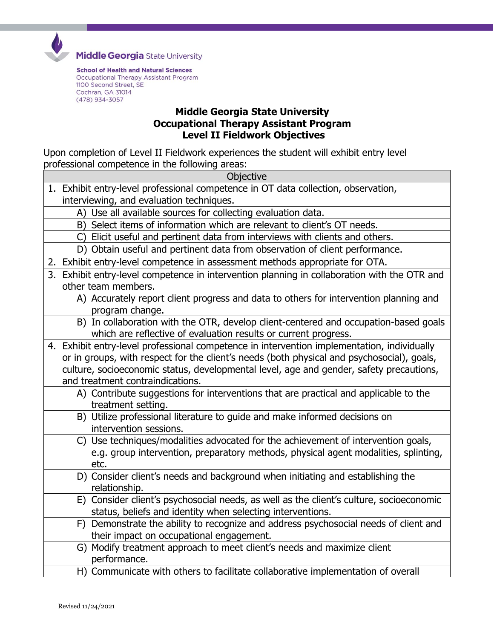

**Middle Georgia** State University

**School of Health and Natural Sciences** Occupational Therapy Assistant Program 1100 Second Street, SE Cochran, GA 31014 (478) 934-3057

## **Middle Georgia State University Occupational Therapy Assistant Program Level II Fieldwork Objectives**

Upon completion of Level II Fieldwork experiences the student will exhibit entry level professional competence in the following areas:

| Objective                                                                                                                                                                                                                                                                                                                |
|--------------------------------------------------------------------------------------------------------------------------------------------------------------------------------------------------------------------------------------------------------------------------------------------------------------------------|
| 1. Exhibit entry-level professional competence in OT data collection, observation,<br>interviewing, and evaluation techniques.                                                                                                                                                                                           |
| A) Use all available sources for collecting evaluation data.                                                                                                                                                                                                                                                             |
| B) Select items of information which are relevant to client's OT needs.                                                                                                                                                                                                                                                  |
| C) Elicit useful and pertinent data from interviews with clients and others.                                                                                                                                                                                                                                             |
| D) Obtain useful and pertinent data from observation of client performance.                                                                                                                                                                                                                                              |
| 2. Exhibit entry-level competence in assessment methods appropriate for OTA.                                                                                                                                                                                                                                             |
| 3. Exhibit entry-level competence in intervention planning in collaboration with the OTR and<br>other team members.                                                                                                                                                                                                      |
| A) Accurately report client progress and data to others for intervention planning and<br>program change.                                                                                                                                                                                                                 |
| B) In collaboration with the OTR, develop client-centered and occupation-based goals<br>which are reflective of evaluation results or current progress.                                                                                                                                                                  |
| 4. Exhibit entry-level professional competence in intervention implementation, individually<br>or in groups, with respect for the client's needs (both physical and psychosocial), goals,<br>culture, socioeconomic status, developmental level, age and gender, safety precautions,<br>and treatment contraindications. |
| A) Contribute suggestions for interventions that are practical and applicable to the<br>treatment setting.                                                                                                                                                                                                               |
| B) Utilize professional literature to guide and make informed decisions on<br>intervention sessions.                                                                                                                                                                                                                     |
| C) Use techniques/modalities advocated for the achievement of intervention goals,<br>e.g. group intervention, preparatory methods, physical agent modalities, splinting,<br>etc.                                                                                                                                         |
| D) Consider client's needs and background when initiating and establishing the<br>relationship.                                                                                                                                                                                                                          |
| E) Consider client's psychosocial needs, as well as the client's culture, socioeconomic<br>status, beliefs and identity when selecting interventions.                                                                                                                                                                    |
| F) Demonstrate the ability to recognize and address psychosocial needs of client and<br>their impact on occupational engagement.                                                                                                                                                                                         |
| G) Modify treatment approach to meet client's needs and maximize client<br>performance.                                                                                                                                                                                                                                  |
| H) Communicate with others to facilitate collaborative implementation of overall                                                                                                                                                                                                                                         |